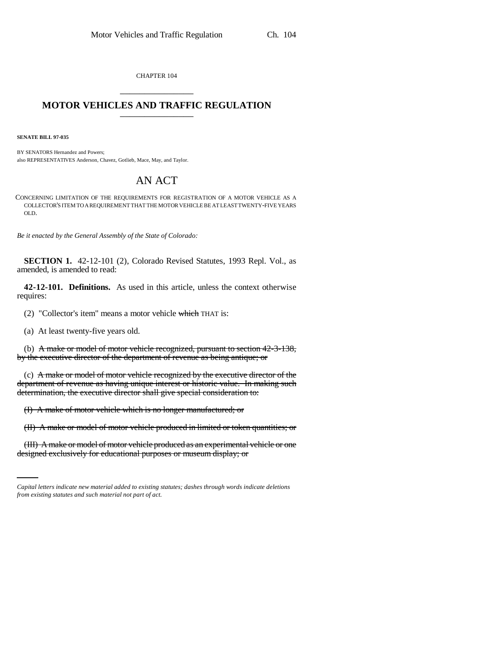CHAPTER 104 \_\_\_\_\_\_\_\_\_\_\_\_\_\_\_

## **MOTOR VEHICLES AND TRAFFIC REGULATION** \_\_\_\_\_\_\_\_\_\_\_\_\_\_\_

**SENATE BILL 97-035**

BY SENATORS Hernandez and Powers; also REPRESENTATIVES Anderson, Chavez, Gotlieb, Mace, May, and Taylor.

## AN ACT

CONCERNING LIMITATION OF THE REQUIREMENTS FOR REGISTRATION OF A MOTOR VEHICLE AS A COLLECTOR'S ITEM TO A REQUIREMENT THAT THE MOTOR VEHICLE BE AT LEAST TWENTY-FIVE YEARS OLD.

*Be it enacted by the General Assembly of the State of Colorado:*

**SECTION 1.** 42-12-101 (2), Colorado Revised Statutes, 1993 Repl. Vol., as amended, is amended to read:

**42-12-101. Definitions.** As used in this article, unless the context otherwise requires:

(2) "Collector's item" means a motor vehicle which THAT is:

(a) At least twenty-five years old.

(b) A make or model of motor vehicle recognized, pursuant to section 42-3-138, by the executive director of the department of revenue as being antique; or

(c) A make or model of motor vehicle recognized by the executive director of the department of revenue as having unique interest or historic value. In making such determination, the executive director shall give special consideration to:

(I) A make of motor vehicle which is no longer manufactured; or

(II) A make or model of motor vehicle produced in limited or token quantities; or

(III) A make or model of motor vehicle produced as an experimental vehicle or one designed exclusively for educational purposes or museum display; or

*Capital letters indicate new material added to existing statutes; dashes through words indicate deletions from existing statutes and such material not part of act.*